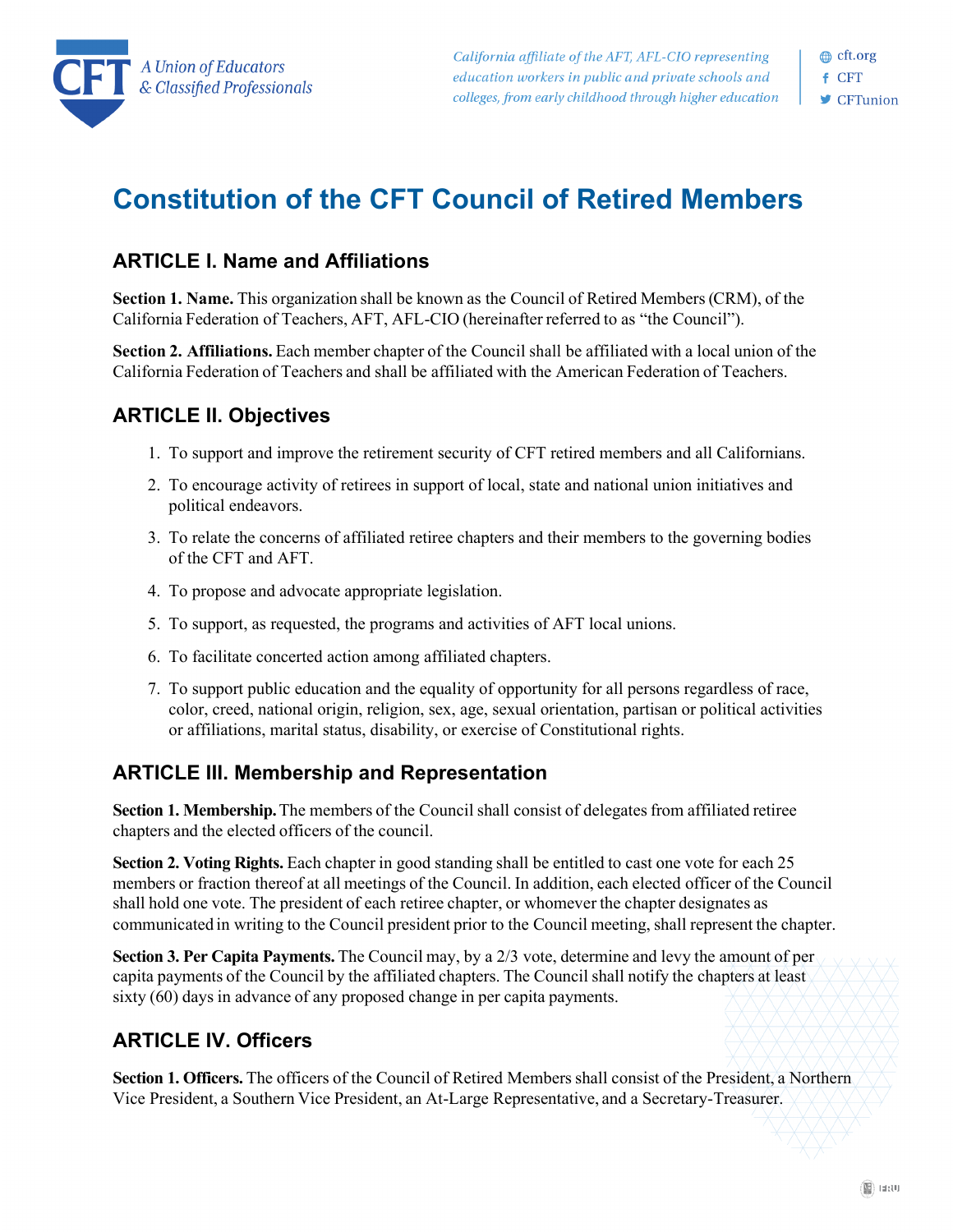

# **Constitution of the CFT Council of Retired Members**

#### **ARTICLE I. Name and Affiliations**

**Section 1. Name.** This organization shall be known as the Council of Retired Members(CRM), of the California Federation of Teachers, AFT, AFL-CIO (hereinafter referred to as "the Council").

**Section 2. Affiliations.** Each member chapter of the Council shall be affiliated with a local union of the California Federation of Teachers and shall be affiliated with the American Federation of Teachers.

### **ARTICLE II. Objectives**

- 1. To support and improve the retirement security of CFT retired members and all Californians.
- 2. To encourage activity of retirees in support of local, state and national union initiatives and political endeavors.
- 3. To relate the concerns of affiliated retiree chapters and their members to the governing bodies of the CFT and AFT.
- 4. To propose and advocate appropriate legislation.
- 5. To support, as requested, the programs and activities of AFT local unions.
- 6. To facilitate concerted action among affiliated chapters.
- 7. To support public education and the equality of opportunity for all persons regardless of race, color, creed, national origin, religion, sex, age, sexual orientation, partisan or political activities or affiliations, marital status, disability, or exercise of Constitutional rights.

### **ARTICLE III. Membership and Representation**

**Section 1. Membership.** The members of the Council shall consist of delegates from affiliated retiree chapters and the elected officers of the council.

**Section 2. Voting Rights.** Each chapter in good standing shall be entitled to cast one vote for each 25 members or fraction thereof at all meetings of the Council. In addition, each elected officer of the Council shall hold one vote. The president of each retiree chapter, or whomever the chapter designates as communicated in writing to the Council president prior to the Council meeting, shall represent the chapter.

**Section 3. Per Capita Payments.** The Council may, by a 2/3 vote, determine and levy the amount of per capita payments of the Council by the affiliated chapters. The Council shall notify the chapters at least sixty (60) days in advance of any proposed change in per capita payments.

### **ARTICLE IV. Officers**

Section 1. Officers. The officers of the Council of Retired Members shall consist of the President, a Northern Vice President, a Southern Vice President, an At-Large Representative, and a Secretary-Treasurer.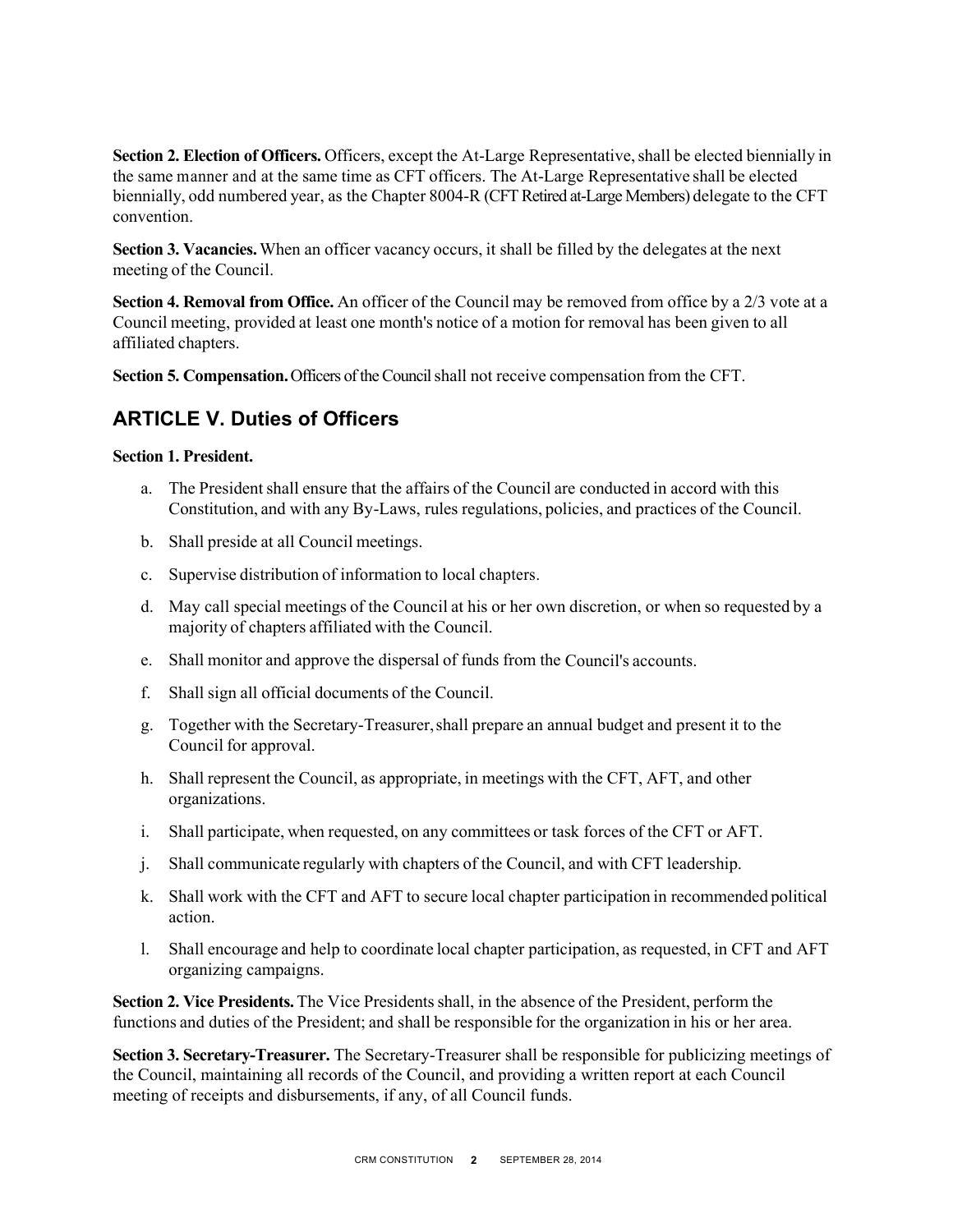**Section 2. Election of Officers.** Officers, except the At-Large Representative, shall be elected biennially in the same manner and at the same time as CFT officers. The At-Large Representative shall be elected biennially, odd numbered year, as the Chapter 8004-R (CFT Retired at-Large Members) delegate to the CFT convention.

**Section 3. Vacancies.**When an officer vacancy occurs, it shall be filled by the delegates at the next meeting of the Council.

**Section 4. Removal from Office.** An officer of the Council may be removed from office by a 2/3 vote at a Council meeting, provided at least one month's notice of a motion for removal has been given to all affiliated chapters.

**Section 5. Compensation.**Officers of the Council shall not receive compensation from the CFT.

### **ARTICLE V. Duties of Officers**

#### **Section 1. President.**

- a. The President shall ensure that the affairs of the Council are conducted in accord with this Constitution, and with any By-Laws, rules regulations, policies, and practices of the Council.
- b. Shall preside at all Council meetings.
- c. Supervise distribution of information to local chapters.
- d. May call special meetings of the Council at his or her own discretion, or when so requested by a majority of chapters affiliated with the Council.
- e. Shall monitor and approve the dispersal of funds from the Council's accounts.
- f. Shall sign all official documents of the Council.
- g. Together with the Secretary-Treasurer,shall prepare an annual budget and present it to the Council for approval.
- h. Shall represent the Council, as appropriate, in meetings with the CFT, AFT, and other organizations.
- i. Shall participate, when requested, on any committees or task forces of the CFT or AFT.
- j. Shall communicate regularly with chapters of the Council, and with CFT leadership.
- k. Shall work with the CFT and AFT to secure local chapter participation in recommended political action.
- l. Shall encourage and help to coordinate local chapter participation, as requested, in CFT and AFT organizing campaigns.

**Section 2. Vice Presidents.** The Vice Presidents shall, in the absence of the President, perform the functions and duties of the President; and shall be responsible for the organization in his or her area.

**Section 3. Secretary-Treasurer.** The Secretary-Treasurer shall be responsible for publicizing meetings of the Council, maintaining all records of the Council, and providing a written report at each Council meeting of receipts and disbursements, if any, of all Council funds.